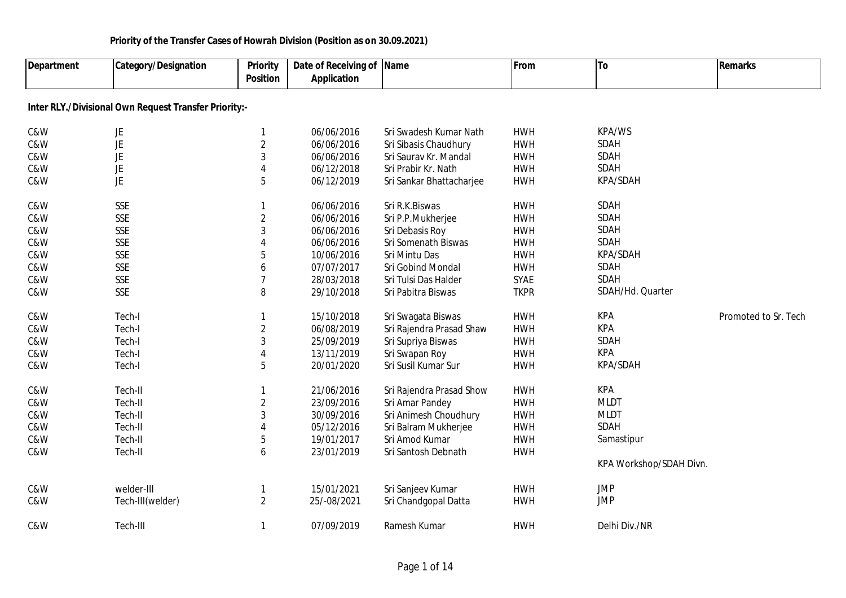| Department | <b>Category/Designation</b>                           | <b>Priority</b><br><b>Position</b> | Date of Receiving of Name<br><b>Application</b> |                          | From        | To                      | <b>Remarks</b>       |
|------------|-------------------------------------------------------|------------------------------------|-------------------------------------------------|--------------------------|-------------|-------------------------|----------------------|
|            | Inter RLY./Divisional Own Request Transfer Priority:- |                                    |                                                 |                          |             |                         |                      |
| C&W        | JE                                                    | 1                                  | 06/06/2016                                      | Sri Swadesh Kumar Nath   | <b>HWH</b>  | KPA/WS                  |                      |
| C&W        | JE                                                    | $\sqrt{2}$                         | 06/06/2016                                      | Sri Sibasis Chaudhury    | <b>HWH</b>  | SDAH                    |                      |
| C&W        | JE                                                    | 3                                  | 06/06/2016                                      | Sri Saurav Kr. Mandal    | <b>HWH</b>  | SDAH                    |                      |
| C&W        | <b>JE</b>                                             | 4                                  | 06/12/2018                                      | Sri Prabir Kr. Nath      | <b>HWH</b>  | SDAH                    |                      |
| C&W        | <b>JE</b>                                             | 5                                  | 06/12/2019                                      | Sri Sankar Bhattacharjee | <b>HWH</b>  | KPA/SDAH                |                      |
| C&W        | <b>SSE</b>                                            | 1                                  | 06/06/2016                                      | Sri R.K.Biswas           | <b>HWH</b>  | <b>SDAH</b>             |                      |
| C&W        | <b>SSE</b>                                            | $\overline{2}$                     | 06/06/2016                                      | Sri P.P.Mukherjee        | <b>HWH</b>  | <b>SDAH</b>             |                      |
| C&W        | <b>SSE</b>                                            | 3                                  | 06/06/2016                                      | Sri Debasis Roy          | <b>HWH</b>  | <b>SDAH</b>             |                      |
| C&W        | <b>SSE</b>                                            | 4                                  | 06/06/2016                                      | Sri Somenath Biswas      | <b>HWH</b>  | SDAH                    |                      |
| C&W        | <b>SSE</b>                                            | 5                                  | 10/06/2016                                      | Sri Mintu Das            | <b>HWH</b>  | KPA/SDAH                |                      |
| C&W        | <b>SSE</b>                                            | 6                                  | 07/07/2017                                      | Sri Gobind Mondal        | <b>HWH</b>  | <b>SDAH</b>             |                      |
| C&W        | <b>SSE</b>                                            | 7                                  | 28/03/2018                                      | Sri Tulsi Das Halder     | <b>SYAE</b> | SDAH                    |                      |
| C&W        | <b>SSE</b>                                            | 8                                  | 29/10/2018                                      | Sri Pabitra Biswas       | <b>TKPR</b> | SDAH/Hd. Quarter        |                      |
| C&W        | Tech-I                                                | 1                                  | 15/10/2018                                      | Sri Swagata Biswas       | <b>HWH</b>  | KPA                     | Promoted to Sr. Tech |
| C&W        | Tech-I                                                | $\overline{2}$                     | 06/08/2019                                      | Sri Rajendra Prasad Shaw | <b>HWH</b>  | <b>KPA</b>              |                      |
| C&W        | Tech-I                                                | 3                                  | 25/09/2019                                      | Sri Supriya Biswas       | <b>HWH</b>  | SDAH                    |                      |
| C&W        | Tech-I                                                | 4                                  | 13/11/2019                                      | Sri Swapan Roy           | <b>HWH</b>  | <b>KPA</b>              |                      |
| C&W        | Tech-I                                                | 5                                  | 20/01/2020                                      | Sri Susil Kumar Sur      | <b>HWH</b>  | KPA/SDAH                |                      |
| C&W        | Tech-II                                               | -1                                 | 21/06/2016                                      | Sri Rajendra Prasad Show | <b>HWH</b>  | KPA                     |                      |
| C&W        | Tech-II                                               | $\overline{2}$                     | 23/09/2016                                      | Sri Amar Pandey          | <b>HWH</b>  | <b>MLDT</b>             |                      |
| C&W        | Tech-II                                               | 3                                  | 30/09/2016                                      | Sri Animesh Choudhury    | <b>HWH</b>  | <b>MLDT</b>             |                      |
| C&W        | Tech-II                                               | 4                                  | 05/12/2016                                      | Sri Balram Mukherjee     | <b>HWH</b>  | <b>SDAH</b>             |                      |
| C&W        | Tech-II                                               | 5                                  | 19/01/2017                                      | Sri Amod Kumar           | <b>HWH</b>  | Samastipur              |                      |
| C&W        | Tech-II                                               | 6                                  | 23/01/2019                                      | Sri Santosh Debnath      | <b>HWH</b>  |                         |                      |
|            |                                                       |                                    |                                                 |                          |             | KPA Workshop/SDAH Divn. |                      |
| C&W        | welder-III                                            | $\mathbf{1}$                       | 15/01/2021                                      | Sri Sanjeev Kumar        | <b>HWH</b>  | <b>JMP</b>              |                      |
| C&W        | Tech-III(welder)                                      | $\overline{2}$                     | 25/-08/2021                                     | Sri Chandgopal Datta     | <b>HWH</b>  | <b>JMP</b>              |                      |
| C&W        | Tech-III                                              | $\mathbf{1}$                       | 07/09/2019                                      | Ramesh Kumar             | <b>HWH</b>  | Delhi Div./NR           |                      |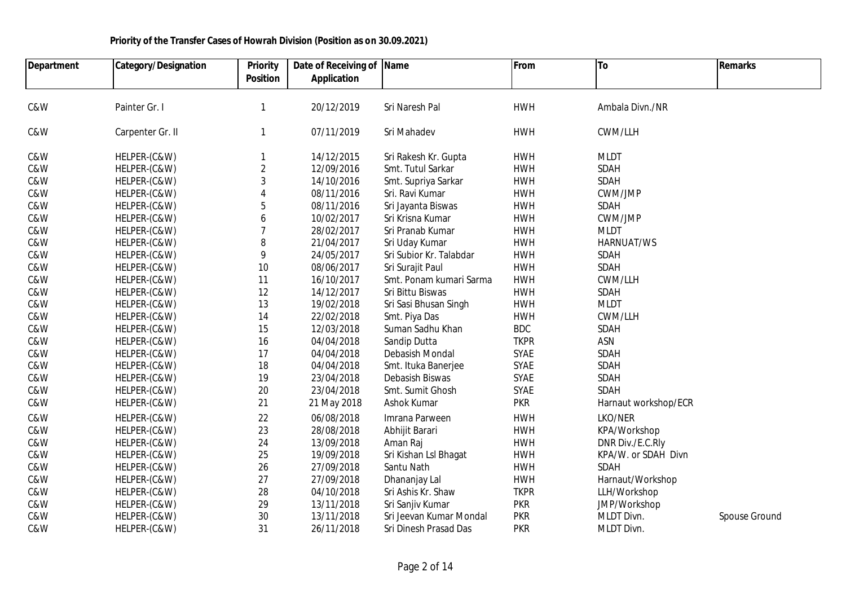| <b>Department</b> | <b>Category/Designation</b> | <b>Priority</b> | Date of Receiving of Name |                         | From        | To                   | <b>Remarks</b> |
|-------------------|-----------------------------|-----------------|---------------------------|-------------------------|-------------|----------------------|----------------|
|                   |                             | <b>Position</b> | <b>Application</b>        |                         |             |                      |                |
|                   |                             |                 |                           |                         |             |                      |                |
| C&W               | Painter Gr. I               | $\mathbf{1}$    | 20/12/2019                | Sri Naresh Pal          | <b>HWH</b>  | Ambala Divn./NR      |                |
| C&W               | Carpenter Gr. II            | $\mathbf{1}$    | 07/11/2019                | Sri Mahadev             | <b>HWH</b>  | CWM/LLH              |                |
| C&W               | HELPER-(C&W)                | 1               | 14/12/2015                | Sri Rakesh Kr. Gupta    | <b>HWH</b>  | <b>MLDT</b>          |                |
| C&W               | HELPER-(C&W)                | $\sqrt{2}$      | 12/09/2016                | Smt. Tutul Sarkar       | <b>HWH</b>  | SDAH                 |                |
| C&W               | HELPER-(C&W)                | 3               | 14/10/2016                | Smt. Supriya Sarkar     | <b>HWH</b>  | <b>SDAH</b>          |                |
| C&W               | HELPER-(C&W)                | 4               | 08/11/2016                | Sri. Ravi Kumar         | <b>HWH</b>  | CWM/JMP              |                |
| C&W               | HELPER-(C&W)                | 5               | 08/11/2016                | Sri Jayanta Biswas      | <b>HWH</b>  | <b>SDAH</b>          |                |
| C&W               | HELPER-(C&W)                | 6               | 10/02/2017                | Sri Krisna Kumar        | <b>HWH</b>  | CWM/JMP              |                |
| C&W               | HELPER-(C&W)                | $\overline{7}$  | 28/02/2017                | Sri Pranab Kumar        | <b>HWH</b>  | <b>MLDT</b>          |                |
| C&W               | HELPER-(C&W)                | 8               | 21/04/2017                | Sri Uday Kumar          | <b>HWH</b>  | HARNUAT/WS           |                |
| C&W               | HELPER-(C&W)                | 9               | 24/05/2017                | Sri Subior Kr. Talabdar | <b>HWH</b>  | SDAH                 |                |
| C&W               | HELPER-(C&W)                | $10$            | 08/06/2017                | Sri Surajit Paul        | <b>HWH</b>  | SDAH                 |                |
| C&W               | HELPER-(C&W)                | 11              | 16/10/2017                | Smt. Ponam kumari Sarma | <b>HWH</b>  | CWM/LLH              |                |
| C&W               | HELPER-(C&W)                | 12              | 14/12/2017                | Sri Bittu Biswas        | <b>HWH</b>  | SDAH                 |                |
| C&W               | HELPER-(C&W)                | 13              | 19/02/2018                | Sri Sasi Bhusan Singh   | <b>HWH</b>  | <b>MLDT</b>          |                |
| C&W               | HELPER-(C&W)                | 14              | 22/02/2018                | Smt. Piya Das           | <b>HWH</b>  | CWM/LLH              |                |
| C&W               | HELPER-(C&W)                | 15              | 12/03/2018                | Suman Sadhu Khan        | <b>BDC</b>  | SDAH                 |                |
| C&W               | HELPER-(C&W)                | 16              | 04/04/2018                | Sandip Dutta            | <b>TKPR</b> | ASN                  |                |
| C&W               | HELPER-(C&W)                | 17              | 04/04/2018                | Debasish Mondal         | SYAE        | SDAH                 |                |
| C&W               | HELPER-(C&W)                | 18              | 04/04/2018                | Smt. Ituka Banerjee     | SYAE        | <b>SDAH</b>          |                |
| C&W               | HELPER-(C&W)                | 19              | 23/04/2018                | Debasish Biswas         | SYAE        | <b>SDAH</b>          |                |
| C&W               | HELPER-(C&W)                | 20              | 23/04/2018                | Smt. Sumit Ghosh        | SYAE        | SDAH                 |                |
| C&W               | HELPER-(C&W)                | 21              | 21 May 2018               | Ashok Kumar             | <b>PKR</b>  | Harnaut workshop/ECR |                |
| C&W               | HELPER-(C&W)                | 22              | 06/08/2018                | Imrana Parween          | <b>HWH</b>  | LKO/NER              |                |
| C&W               | HELPER-(C&W)                | 23              | 28/08/2018                | Abhijit Barari          | <b>HWH</b>  | KPA/Workshop         |                |
| C&W               | HELPER-(C&W)                | 24              | 13/09/2018                | Aman Raj                | <b>HWH</b>  | DNR Div./E.C.Rly     |                |
| C&W               | HELPER-(C&W)                | 25              | 19/09/2018                | Sri Kishan Lsl Bhagat   | <b>HWH</b>  | KPA/W. or SDAH Divn  |                |
| C&W               | HELPER-(C&W)                | 26              | 27/09/2018                | Santu Nath              | <b>HWH</b>  | SDAH                 |                |
| C&W               | HELPER-(C&W)                | 27              | 27/09/2018                | Dhananjay Lal           | <b>HWH</b>  | Harnaut/Workshop     |                |
| C&W               | HELPER-(C&W)                | 28              | 04/10/2018                | Sri Ashis Kr. Shaw      | <b>TKPR</b> | LLH/Workshop         |                |
| C&W               | HELPER-(C&W)                | 29              | 13/11/2018                | Sri Sanjiv Kumar        | <b>PKR</b>  | JMP/Workshop         |                |
| C&W               | HELPER-(C&W)                | 30              | 13/11/2018                | Sri Jeevan Kumar Mondal | <b>PKR</b>  | MLDT Divn.           | Spouse Ground  |
| C&W               | HELPER-(C&W)                | 31              | 26/11/2018                | Sri Dinesh Prasad Das   | <b>PKR</b>  | MLDT Divn.           |                |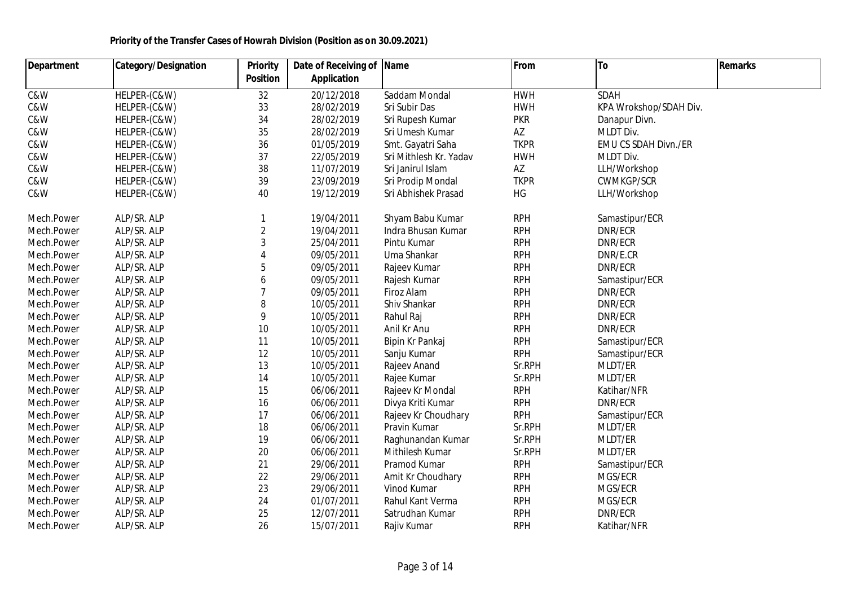| Department              | <b>Category/Designation</b> | <b>Priority</b> | Date of Receiving of Name |                        | From        | To                     | <b>Remarks</b> |
|-------------------------|-----------------------------|-----------------|---------------------------|------------------------|-------------|------------------------|----------------|
|                         |                             | <b>Position</b> | <b>Application</b>        |                        |             |                        |                |
| $\overline{\text{caw}}$ | HELPER-(C&W)                | 32              | 20/12/2018                | Saddam Mondal          | <b>HWH</b>  | <b>SDAH</b>            |                |
| C&W                     | HELPER-(C&W)                | 33              | 28/02/2019                | Sri Subir Das          | <b>HWH</b>  | KPA Wrokshop/SDAH Div. |                |
| C&W                     | HELPER-(C&W)                | 34              | 28/02/2019                | Sri Rupesh Kumar       | <b>PKR</b>  | Danapur Divn.          |                |
| C&W                     | HELPER-(C&W)                | 35              | 28/02/2019                | Sri Umesh Kumar        | AZ          | MLDT Div.              |                |
| C&W                     | HELPER-(C&W)                | 36              | 01/05/2019                | Smt. Gayatri Saha      | <b>TKPR</b> | EMU CS SDAH Divn./ER   |                |
| C&W                     | HELPER-(C&W)                | 37              | 22/05/2019                | Sri Mithlesh Kr. Yadav | <b>HWH</b>  | MLDT Div.              |                |
| C&W                     | HELPER-(C&W)                | 38              | 11/07/2019                | Sri Janirul Islam      | AZ          | LLH/Workshop           |                |
| C&W                     | HELPER-(C&W)                | 39              | 23/09/2019                | Sri Prodip Mondal      | <b>TKPR</b> | <b>CWMKGP/SCR</b>      |                |
| C&W                     | HELPER-(C&W)                | 40              | 19/12/2019                | Sri Abhishek Prasad    | HG          | LLH/Workshop           |                |
| Mech.Power              | ALP/SR. ALP                 | 1               | 19/04/2011                | Shyam Babu Kumar       | <b>RPH</b>  | Samastipur/ECR         |                |
| Mech.Power              | ALP/SR. ALP                 | $\overline{2}$  | 19/04/2011                | Indra Bhusan Kumar     | <b>RPH</b>  | DNR/ECR                |                |
| Mech.Power              | ALP/SR. ALP                 | $\mathbf{3}$    | 25/04/2011                | Pintu Kumar            | <b>RPH</b>  | DNR/ECR                |                |
| Mech.Power              | ALP/SR. ALP                 | $\overline{4}$  | 09/05/2011                | Uma Shankar            | <b>RPH</b>  | DNR/E.CR               |                |
| Mech.Power              | ALP/SR. ALP                 | 5               | 09/05/2011                | Rajeev Kumar           | <b>RPH</b>  | DNR/ECR                |                |
| Mech.Power              | ALP/SR. ALP                 | 6               | 09/05/2011                | Rajesh Kumar           | <b>RPH</b>  | Samastipur/ECR         |                |
| Mech.Power              | ALP/SR. ALP                 | $\overline{7}$  | 09/05/2011                | Firoz Alam             | <b>RPH</b>  | DNR/ECR                |                |
| Mech.Power              | ALP/SR. ALP                 | 8               | 10/05/2011                | Shiv Shankar           | <b>RPH</b>  | DNR/ECR                |                |
| Mech.Power              | ALP/SR. ALP                 | 9               | 10/05/2011                | Rahul Raj              | <b>RPH</b>  | DNR/ECR                |                |
| Mech.Power              | ALP/SR. ALP                 | 10              | 10/05/2011                | Anil Kr Anu            | <b>RPH</b>  | DNR/ECR                |                |
| Mech.Power              | ALP/SR. ALP                 | 11              | 10/05/2011                | Bipin Kr Pankaj        | <b>RPH</b>  | Samastipur/ECR         |                |
| Mech.Power              | ALP/SR. ALP                 | 12              | 10/05/2011                | Sanju Kumar            | <b>RPH</b>  | Samastipur/ECR         |                |
| Mech.Power              | ALP/SR. ALP                 | 13              | 10/05/2011                | Rajeev Anand           | Sr.RPH      | MLDT/ER                |                |
| Mech.Power              | ALP/SR. ALP                 | 14              | 10/05/2011                | Rajee Kumar            | Sr.RPH      | MLDT/ER                |                |
| Mech.Power              | ALP/SR. ALP                 | 15              | 06/06/2011                | Rajeev Kr Mondal       | <b>RPH</b>  | Katihar/NFR            |                |
| Mech.Power              | ALP/SR. ALP                 | 16              | 06/06/2011                | Divya Kriti Kumar      | <b>RPH</b>  | DNR/ECR                |                |
| Mech.Power              | ALP/SR. ALP                 | 17              | 06/06/2011                | Rajeev Kr Choudhary    | <b>RPH</b>  | Samastipur/ECR         |                |
| Mech.Power              | ALP/SR. ALP                 | 18              | 06/06/2011                | Pravin Kumar           | Sr.RPH      | MLDT/ER                |                |
| Mech.Power              | ALP/SR. ALP                 | 19              | 06/06/2011                | Raghunandan Kumar      | Sr.RPH      | MLDT/ER                |                |
| Mech.Power              | ALP/SR. ALP                 | 20              | 06/06/2011                | Mithilesh Kumar        | Sr.RPH      | MLDT/ER                |                |
| Mech.Power              | ALP/SR. ALP                 | 21              | 29/06/2011                | Pramod Kumar           | <b>RPH</b>  | Samastipur/ECR         |                |
| Mech.Power              | ALP/SR. ALP                 | 22              | 29/06/2011                | Amit Kr Choudhary      | <b>RPH</b>  | MGS/ECR                |                |
| Mech.Power              | ALP/SR. ALP                 | 23              | 29/06/2011                | Vinod Kumar            | <b>RPH</b>  | MGS/ECR                |                |
| Mech.Power              | ALP/SR. ALP                 | 24              | 01/07/2011                | Rahul Kant Verma       | <b>RPH</b>  | MGS/ECR                |                |
| Mech.Power              | ALP/SR. ALP                 | 25              | 12/07/2011                | Satrudhan Kumar        | <b>RPH</b>  | DNR/ECR                |                |
| Mech.Power              | ALP/SR. ALP                 | 26              | 15/07/2011                | Rajiv Kumar            | <b>RPH</b>  | Katihar/NFR            |                |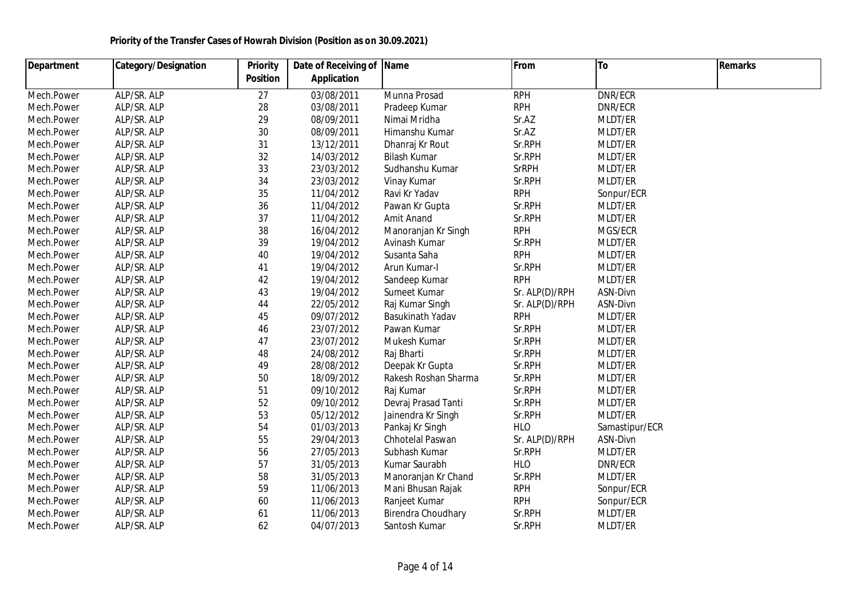| <b>Department</b> | <b>Category/Designation</b> | <b>Priority</b> | Date of Receiving of Name |                      | From           | To             | <b>Remarks</b> |  |
|-------------------|-----------------------------|-----------------|---------------------------|----------------------|----------------|----------------|----------------|--|
|                   |                             | <b>Position</b> | <b>Application</b>        |                      |                |                |                |  |
| Mech.Power        | ALP/SR. ALP                 | 27              | 03/08/2011                | Munna Prosad         | <b>RPH</b>     | DNR/ECR        |                |  |
| Mech.Power        | ALP/SR. ALP                 | 28              | 03/08/2011                | Pradeep Kumar        | <b>RPH</b>     | DNR/ECR        |                |  |
| Mech.Power        | ALP/SR. ALP                 | 29              | 08/09/2011                | Nimai Mridha         | Sr.AZ          | MLDT/ER        |                |  |
| Mech.Power        | ALP/SR. ALP                 | 30              | 08/09/2011                | Himanshu Kumar       | Sr.AZ          | MLDT/ER        |                |  |
| Mech.Power        | ALP/SR. ALP                 | 31              | 13/12/2011                | Dhanraj Kr Rout      | Sr.RPH         | MLDT/ER        |                |  |
| Mech.Power        | ALP/SR. ALP                 | 32              | 14/03/2012                | <b>Bilash Kumar</b>  | Sr.RPH         | MLDT/ER        |                |  |
| Mech.Power        | ALP/SR. ALP                 | 33              | 23/03/2012                | Sudhanshu Kumar      | <b>SrRPH</b>   | MLDT/ER        |                |  |
| Mech.Power        | ALP/SR. ALP                 | 34              | 23/03/2012                | Vinay Kumar          | Sr.RPH         | MLDT/ER        |                |  |
| Mech.Power        | ALP/SR. ALP                 | 35              | 11/04/2012                | Ravi Kr Yadav        | <b>RPH</b>     | Sonpur/ECR     |                |  |
| Mech.Power        | ALP/SR. ALP                 | 36              | 11/04/2012                | Pawan Kr Gupta       | Sr.RPH         | MLDT/ER        |                |  |
| Mech.Power        | ALP/SR. ALP                 | 37              | 11/04/2012                | Amit Anand           | Sr.RPH         | MLDT/ER        |                |  |
| Mech.Power        | ALP/SR. ALP                 | 38              | 16/04/2012                | Manoranjan Kr Singh  | <b>RPH</b>     | MGS/ECR        |                |  |
| Mech.Power        | ALP/SR. ALP                 | 39              | 19/04/2012                | Avinash Kumar        | Sr.RPH         | MLDT/ER        |                |  |
| Mech.Power        | ALP/SR. ALP                 | 40              | 19/04/2012                | Susanta Saha         | <b>RPH</b>     | MLDT/ER        |                |  |
| Mech.Power        | ALP/SR. ALP                 | 41              | 19/04/2012                | Arun Kumar-I         | Sr.RPH         | MLDT/ER        |                |  |
| Mech.Power        | ALP/SR. ALP                 | 42              | 19/04/2012                | Sandeep Kumar        | <b>RPH</b>     | MLDT/ER        |                |  |
| Mech.Power        | ALP/SR. ALP                 | 43              | 19/04/2012                | Sumeet Kumar         | Sr. ALP(D)/RPH | ASN-Divn       |                |  |
| Mech.Power        | ALP/SR. ALP                 | 44              | 22/05/2012                | Raj Kumar Singh      | Sr. ALP(D)/RPH | ASN-Divn       |                |  |
| Mech.Power        | ALP/SR. ALP                 | 45              | 09/07/2012                | Basukinath Yadav     | <b>RPH</b>     | MLDT/ER        |                |  |
| Mech.Power        | ALP/SR. ALP                 | 46              | 23/07/2012                | Pawan Kumar          | Sr.RPH         | MLDT/ER        |                |  |
| Mech.Power        | ALP/SR. ALP                 | 47              | 23/07/2012                | Mukesh Kumar         | Sr.RPH         | MLDT/ER        |                |  |
| Mech.Power        | ALP/SR. ALP                 | 48              | 24/08/2012                | Raj Bharti           | Sr.RPH         | MLDT/ER        |                |  |
| Mech.Power        | ALP/SR. ALP                 | 49              | 28/08/2012                | Deepak Kr Gupta      | Sr.RPH         | MLDT/ER        |                |  |
| Mech.Power        | ALP/SR. ALP                 | 50              | 18/09/2012                | Rakesh Roshan Sharma | Sr.RPH         | MLDT/ER        |                |  |
| Mech.Power        | ALP/SR. ALP                 | 51              | 09/10/2012                | Raj Kumar            | Sr.RPH         | MLDT/ER        |                |  |
| Mech.Power        | ALP/SR. ALP                 | 52              | 09/10/2012                | Devraj Prasad Tanti  | Sr.RPH         | MLDT/ER        |                |  |
| Mech.Power        | ALP/SR. ALP                 | 53              | 05/12/2012                | Jainendra Kr Singh   | Sr.RPH         | MLDT/ER        |                |  |
| Mech.Power        | ALP/SR. ALP                 | 54              | 01/03/2013                | Pankaj Kr Singh      | <b>HLO</b>     | Samastipur/ECR |                |  |
| Mech.Power        | ALP/SR. ALP                 | 55              | 29/04/2013                | Chhotelal Paswan     | Sr. ALP(D)/RPH | ASN-Divn       |                |  |
| Mech.Power        | ALP/SR. ALP                 | 56              | 27/05/2013                | Subhash Kumar        | Sr.RPH         | MLDT/ER        |                |  |
| Mech.Power        | ALP/SR. ALP                 | 57              | 31/05/2013                | Kumar Saurabh        | <b>HLO</b>     | DNR/ECR        |                |  |
| Mech.Power        | ALP/SR. ALP                 | 58              | 31/05/2013                | Manoranjan Kr Chand  | Sr.RPH         | MLDT/ER        |                |  |
| Mech.Power        | ALP/SR. ALP                 | 59              | 11/06/2013                | Mani Bhusan Rajak    | <b>RPH</b>     | Sonpur/ECR     |                |  |
| Mech.Power        | ALP/SR. ALP                 | 60              | 11/06/2013                | Ranjeet Kumar        | <b>RPH</b>     | Sonpur/ECR     |                |  |
| Mech.Power        | ALP/SR. ALP                 | 61              | 11/06/2013                | Birendra Choudhary   | Sr.RPH         | MLDT/ER        |                |  |
| Mech.Power        | ALP/SR. ALP                 | 62              | 04/07/2013                | Santosh Kumar        | Sr.RPH         | MLDT/ER        |                |  |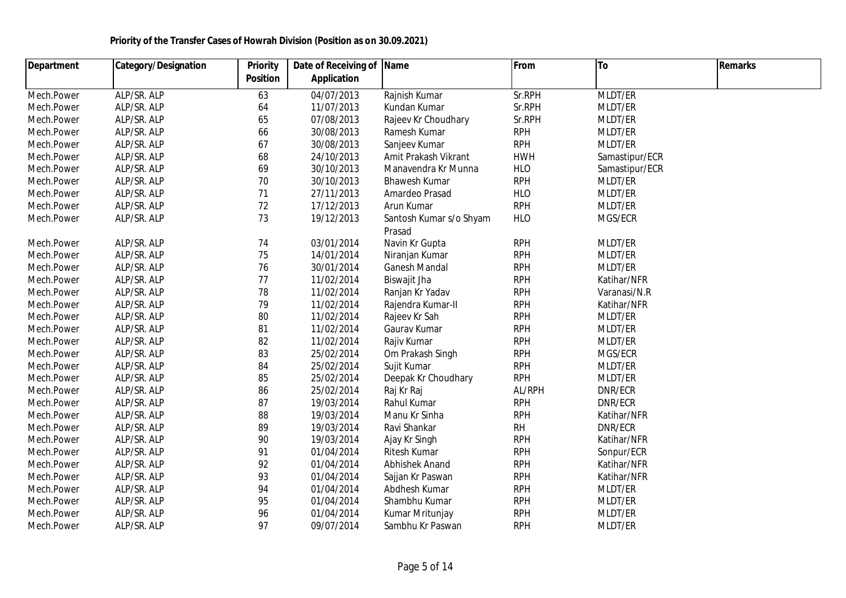| <b>Department</b> | <b>Category/Designation</b> | <b>Priority</b> | Date of Receiving of | <b>Name</b>             | From       | <b>To</b>      | Remarks |
|-------------------|-----------------------------|-----------------|----------------------|-------------------------|------------|----------------|---------|
|                   |                             | <b>Position</b> | <b>Application</b>   |                         |            |                |         |
| Mech.Power        | ALP/SR. ALP                 | 63              | 04/07/2013           | Rajnish Kumar           | Sr.RPH     | MLDT/ER        |         |
| Mech.Power        | ALP/SR. ALP                 | 64              | 11/07/2013           | Kundan Kumar            | Sr.RPH     | MLDT/ER        |         |
| Mech.Power        | ALP/SR. ALP                 | 65              | 07/08/2013           | Rajeev Kr Choudhary     | Sr.RPH     | MLDT/ER        |         |
| Mech.Power        | ALP/SR. ALP                 | 66              | 30/08/2013           | Ramesh Kumar            | <b>RPH</b> | MLDT/ER        |         |
| Mech.Power        | ALP/SR. ALP                 | 67              | 30/08/2013           | Sanjeev Kumar           | <b>RPH</b> | MLDT/ER        |         |
| Mech.Power        | ALP/SR. ALP                 | 68              | 24/10/2013           | Amit Prakash Vikrant    | <b>HWH</b> | Samastipur/ECR |         |
| Mech.Power        | ALP/SR. ALP                 | 69              | 30/10/2013           | Manavendra Kr Munna     | <b>HLO</b> | Samastipur/ECR |         |
| Mech.Power        | ALP/SR. ALP                 | 70              | 30/10/2013           | <b>Bhawesh Kumar</b>    | <b>RPH</b> | MLDT/ER        |         |
| Mech.Power        | ALP/SR. ALP                 | 71              | 27/11/2013           | Amardeo Prasad          | <b>HLO</b> | MLDT/ER        |         |
| Mech.Power        | ALP/SR. ALP                 | 72              | 17/12/2013           | Arun Kumar              | <b>RPH</b> | MLDT/ER        |         |
| Mech.Power        | ALP/SR. ALP                 | 73              | 19/12/2013           | Santosh Kumar s/o Shyam | <b>HLO</b> | MGS/ECR        |         |
|                   |                             |                 |                      | Prasad                  |            |                |         |
| Mech.Power        | ALP/SR. ALP                 | 74              | 03/01/2014           | Navin Kr Gupta          | <b>RPH</b> | MLDT/ER        |         |
| Mech.Power        | ALP/SR. ALP                 | 75              | 14/01/2014           | Niranjan Kumar          | <b>RPH</b> | MLDT/ER        |         |
| Mech.Power        | ALP/SR. ALP                 | 76              | 30/01/2014           | <b>Ganesh Mandal</b>    | <b>RPH</b> | MLDT/ER        |         |
| Mech.Power        | ALP/SR. ALP                 | 77              | 11/02/2014           | Biswajit Jha            | <b>RPH</b> | Katihar/NFR    |         |
| Mech.Power        | ALP/SR. ALP                 | 78              | 11/02/2014           | Ranjan Kr Yadav         | <b>RPH</b> | Varanasi/N.R   |         |
| Mech.Power        | ALP/SR. ALP                 | 79              | 11/02/2014           | Rajendra Kumar-II       | <b>RPH</b> | Katihar/NFR    |         |
| Mech.Power        | ALP/SR. ALP                 | 80              | 11/02/2014           | Rajeev Kr Sah           | <b>RPH</b> | MLDT/ER        |         |
| Mech.Power        | ALP/SR. ALP                 | 81              | 11/02/2014           | Gaurav Kumar            | <b>RPH</b> | MLDT/ER        |         |
| Mech.Power        | ALP/SR. ALP                 | 82              | 11/02/2014           | Rajiv Kumar             | <b>RPH</b> | MLDT/ER        |         |
| Mech.Power        | ALP/SR. ALP                 | 83              | 25/02/2014           | Om Prakash Singh        | <b>RPH</b> | MGS/ECR        |         |
| Mech.Power        | ALP/SR. ALP                 | 84              | 25/02/2014           | Sujit Kumar             | <b>RPH</b> | MLDT/ER        |         |
| Mech.Power        | ALP/SR. ALP                 | 85              | 25/02/2014           | Deepak Kr Choudhary     | <b>RPH</b> | MLDT/ER        |         |
| Mech.Power        | ALP/SR. ALP                 | 86              | 25/02/2014           | Raj Kr Raj              | AL/RPH     | DNR/ECR        |         |
| Mech.Power        | ALP/SR. ALP                 | 87              | 19/03/2014           | Rahul Kumar             | <b>RPH</b> | DNR/ECR        |         |
| Mech.Power        | ALP/SR. ALP                 | 88              | 19/03/2014           | Manu Kr Sinha           | <b>RPH</b> | Katihar/NFR    |         |
| Mech.Power        | ALP/SR. ALP                 | 89              | 19/03/2014           | Ravi Shankar            | <b>RH</b>  | DNR/ECR        |         |
| Mech.Power        | ALP/SR. ALP                 | 90              | 19/03/2014           | Ajay Kr Singh           | <b>RPH</b> | Katihar/NFR    |         |
| Mech.Power        | ALP/SR. ALP                 | 91              | 01/04/2014           | Ritesh Kumar            | <b>RPH</b> | Sonpur/ECR     |         |
| Mech.Power        | ALP/SR. ALP                 | 92              | 01/04/2014           | Abhishek Anand          | <b>RPH</b> | Katihar/NFR    |         |
| Mech.Power        | ALP/SR. ALP                 | 93              | 01/04/2014           | Sajjan Kr Paswan        | <b>RPH</b> | Katihar/NFR    |         |
| Mech.Power        | ALP/SR. ALP                 | 94              | 01/04/2014           | Abdhesh Kumar           | <b>RPH</b> | MLDT/ER        |         |
| Mech.Power        | ALP/SR. ALP                 | 95              | 01/04/2014           | Shambhu Kumar           | <b>RPH</b> | MLDT/ER        |         |
| Mech.Power        | ALP/SR. ALP                 | 96              | 01/04/2014           | Kumar Mritunjay         | <b>RPH</b> | MLDT/ER        |         |
| Mech.Power        | ALP/SR. ALP                 | 97              | 09/07/2014           | Sambhu Kr Paswan        | <b>RPH</b> | MLDT/ER        |         |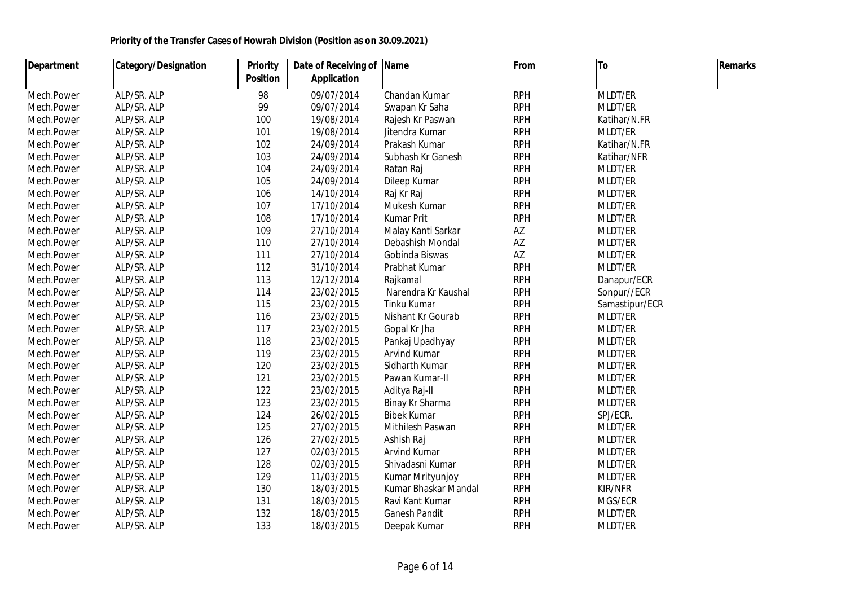| <b>Department</b> | <b>Category/Designation</b> | <b>Priority</b> | Date of Receiving of Name |                      | From       | To             | <b>Remarks</b> |  |
|-------------------|-----------------------------|-----------------|---------------------------|----------------------|------------|----------------|----------------|--|
|                   |                             | <b>Position</b> | <b>Application</b>        |                      |            |                |                |  |
| Mech.Power        | ALP/SR. ALP                 | 98              | 09/07/2014                | Chandan Kumar        | <b>RPH</b> | MLDT/ER        |                |  |
| Mech.Power        | ALP/SR. ALP                 | 99              | 09/07/2014                | Swapan Kr Saha       | <b>RPH</b> | MLDT/ER        |                |  |
| Mech.Power        | ALP/SR. ALP                 | 100             | 19/08/2014                | Rajesh Kr Paswan     | <b>RPH</b> | Katihar/N.FR   |                |  |
| Mech.Power        | ALP/SR. ALP                 | 101             | 19/08/2014                | Jitendra Kumar       | <b>RPH</b> | MLDT/ER        |                |  |
| Mech.Power        | ALP/SR. ALP                 | 102             | 24/09/2014                | Prakash Kumar        | <b>RPH</b> | Katihar/N.FR   |                |  |
| Mech.Power        | ALP/SR. ALP                 | 103             | 24/09/2014                | Subhash Kr Ganesh    | <b>RPH</b> | Katihar/NFR    |                |  |
| Mech.Power        | ALP/SR. ALP                 | 104             | 24/09/2014                | Ratan Raj            | <b>RPH</b> | MLDT/ER        |                |  |
| Mech.Power        | ALP/SR. ALP                 | 105             | 24/09/2014                | Dileep Kumar         | <b>RPH</b> | MLDT/ER        |                |  |
| Mech.Power        | ALP/SR. ALP                 | 106             | 14/10/2014                | Raj Kr Raj           | <b>RPH</b> | MLDT/ER        |                |  |
| Mech.Power        | ALP/SR. ALP                 | 107             | 17/10/2014                | Mukesh Kumar         | <b>RPH</b> | MLDT/ER        |                |  |
| Mech.Power        | ALP/SR. ALP                 | 108             | 17/10/2014                | <b>Kumar Prit</b>    | <b>RPH</b> | MLDT/ER        |                |  |
| Mech.Power        | ALP/SR. ALP                 | 109             | 27/10/2014                | Malay Kanti Sarkar   | AZ         | MLDT/ER        |                |  |
| Mech.Power        | ALP/SR. ALP                 | 110             | 27/10/2014                | Debashish Mondal     | AZ         | MLDT/ER        |                |  |
| Mech.Power        | ALP/SR. ALP                 | 111             | 27/10/2014                | Gobinda Biswas       | AZ         | MLDT/ER        |                |  |
| Mech.Power        | ALP/SR. ALP                 | 112             | 31/10/2014                | Prabhat Kumar        | <b>RPH</b> | MLDT/ER        |                |  |
| Mech.Power        | ALP/SR. ALP                 | 113             | 12/12/2014                | Rajkamal             | <b>RPH</b> | Danapur/ECR    |                |  |
| Mech.Power        | ALP/SR. ALP                 | 114             | 23/02/2015                | Narendra Kr Kaushal  | <b>RPH</b> | Sonpur//ECR    |                |  |
| Mech.Power        | ALP/SR. ALP                 | 115             | 23/02/2015                | Tinku Kumar          | <b>RPH</b> | Samastipur/ECR |                |  |
| Mech.Power        | ALP/SR. ALP                 | 116             | 23/02/2015                | Nishant Kr Gourab    | <b>RPH</b> | MLDT/ER        |                |  |
| Mech.Power        | ALP/SR. ALP                 | 117             | 23/02/2015                | Gopal Kr Jha         | <b>RPH</b> | MLDT/ER        |                |  |
| Mech.Power        | ALP/SR. ALP                 | 118             | 23/02/2015                | Pankaj Upadhyay      | <b>RPH</b> | MLDT/ER        |                |  |
| Mech.Power        | ALP/SR. ALP                 | 119             | 23/02/2015                | Arvind Kumar         | <b>RPH</b> | MLDT/ER        |                |  |
| Mech.Power        | ALP/SR. ALP                 | 120             | 23/02/2015                | Sidharth Kumar       | <b>RPH</b> | MLDT/ER        |                |  |
| Mech.Power        | ALP/SR. ALP                 | 121             | 23/02/2015                | Pawan Kumar-II       | <b>RPH</b> | MLDT/ER        |                |  |
| Mech.Power        | ALP/SR. ALP                 | 122             | 23/02/2015                | Aditya Raj-II        | <b>RPH</b> | MLDT/ER        |                |  |
| Mech.Power        | ALP/SR. ALP                 | 123             | 23/02/2015                | Binay Kr Sharma      | <b>RPH</b> | MLDT/ER        |                |  |
| Mech.Power        | ALP/SR. ALP                 | 124             | 26/02/2015                | <b>Bibek Kumar</b>   | <b>RPH</b> | SPJ/ECR.       |                |  |
| Mech.Power        | ALP/SR. ALP                 | 125             | 27/02/2015                | Mithilesh Paswan     | <b>RPH</b> | MLDT/ER        |                |  |
| Mech.Power        | ALP/SR. ALP                 | 126             | 27/02/2015                | Ashish Raj           | <b>RPH</b> | MLDT/ER        |                |  |
| Mech.Power        | ALP/SR. ALP                 | 127             | 02/03/2015                | <b>Arvind Kumar</b>  | <b>RPH</b> | MLDT/ER        |                |  |
| Mech.Power        | ALP/SR. ALP                 | 128             | 02/03/2015                | Shivadasni Kumar     | <b>RPH</b> | MLDT/ER        |                |  |
| Mech.Power        | ALP/SR. ALP                 | 129             | 11/03/2015                | Kumar Mrityunjoy     | <b>RPH</b> | MLDT/ER        |                |  |
| Mech.Power        | ALP/SR. ALP                 | 130             | 18/03/2015                | Kumar Bhaskar Mandal | <b>RPH</b> | <b>KIR/NFR</b> |                |  |
| Mech.Power        | ALP/SR. ALP                 | 131             | 18/03/2015                | Ravi Kant Kumar      | <b>RPH</b> | MGS/ECR        |                |  |
| Mech.Power        | ALP/SR. ALP                 | 132             | 18/03/2015                | Ganesh Pandit        | <b>RPH</b> | MLDT/ER        |                |  |
| Mech.Power        | ALP/SR. ALP                 | 133             | 18/03/2015                | Deepak Kumar         | <b>RPH</b> | MLDT/ER        |                |  |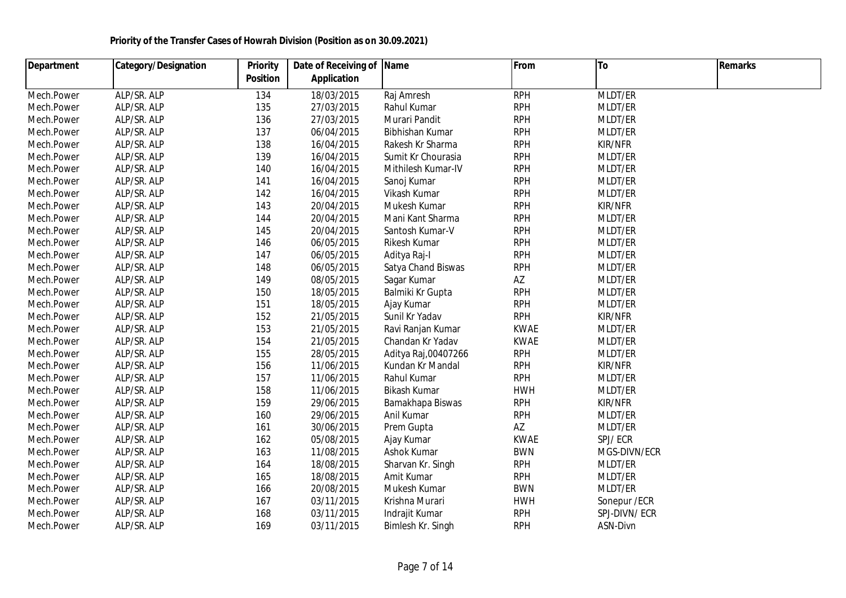| <b>Department</b> | <b>Category/Designation</b> | <b>Priority</b> | Date of Receiving of | <b>Name</b>         | From        | To            | <b>Remarks</b> |  |
|-------------------|-----------------------------|-----------------|----------------------|---------------------|-------------|---------------|----------------|--|
|                   |                             | <b>Position</b> | <b>Application</b>   |                     |             |               |                |  |
| Mech.Power        | ALP/SR. ALP                 | 134             | 18/03/2015           | Raj Amresh          | <b>RPH</b>  | MLDT/ER       |                |  |
| Mech.Power        | ALP/SR. ALP                 | 135             | 27/03/2015           | Rahul Kumar         | <b>RPH</b>  | MLDT/ER       |                |  |
| Mech.Power        | ALP/SR. ALP                 | 136             | 27/03/2015           | Murari Pandit       | <b>RPH</b>  | MLDT/ER       |                |  |
| Mech.Power        | ALP/SR. ALP                 | 137             | 06/04/2015           | Bibhishan Kumar     | <b>RPH</b>  | MLDT/ER       |                |  |
| Mech.Power        | ALP/SR. ALP                 | 138             | 16/04/2015           | Rakesh Kr Sharma    | <b>RPH</b>  | KIR/NFR       |                |  |
| Mech.Power        | ALP/SR. ALP                 | 139             | 16/04/2015           | Sumit Kr Chourasia  | <b>RPH</b>  | MLDT/ER       |                |  |
| Mech.Power        | ALP/SR. ALP                 | 140             | 16/04/2015           | Mithilesh Kumar-IV  | <b>RPH</b>  | MLDT/ER       |                |  |
| Mech.Power        | ALP/SR. ALP                 | 141             | 16/04/2015           | Sanoj Kumar         | <b>RPH</b>  | MLDT/ER       |                |  |
| Mech.Power        | ALP/SR. ALP                 | 142             | 16/04/2015           | Vikash Kumar        | <b>RPH</b>  | MLDT/ER       |                |  |
| Mech.Power        | ALP/SR. ALP                 | 143             | 20/04/2015           | Mukesh Kumar        | <b>RPH</b>  | KIR/NFR       |                |  |
| Mech.Power        | ALP/SR. ALP                 | 144             | 20/04/2015           | Mani Kant Sharma    | <b>RPH</b>  | MLDT/ER       |                |  |
| Mech.Power        | ALP/SR. ALP                 | 145             | 20/04/2015           | Santosh Kumar-V     | <b>RPH</b>  | MLDT/ER       |                |  |
| Mech.Power        | ALP/SR. ALP                 | 146             | 06/05/2015           | Rikesh Kumar        | <b>RPH</b>  | MLDT/ER       |                |  |
| Mech.Power        | ALP/SR. ALP                 | 147             | 06/05/2015           | Aditya Raj-I        | <b>RPH</b>  | MLDT/ER       |                |  |
| Mech.Power        | ALP/SR. ALP                 | 148             | 06/05/2015           | Satya Chand Biswas  | <b>RPH</b>  | MLDT/ER       |                |  |
| Mech.Power        | ALP/SR. ALP                 | 149             | 08/05/2015           | Sagar Kumar         | AZ          | MLDT/ER       |                |  |
| Mech.Power        | ALP/SR. ALP                 | 150             | 18/05/2015           | Balmiki Kr Gupta    | <b>RPH</b>  | MLDT/ER       |                |  |
| Mech.Power        | ALP/SR. ALP                 | 151             | 18/05/2015           | Ajay Kumar          | <b>RPH</b>  | MLDT/ER       |                |  |
| Mech.Power        | ALP/SR. ALP                 | 152             | 21/05/2015           | Sunil Kr Yadav      | <b>RPH</b>  | KIR/NFR       |                |  |
| Mech.Power        | ALP/SR. ALP                 | 153             | 21/05/2015           | Ravi Ranjan Kumar   | <b>KWAE</b> | MLDT/ER       |                |  |
| Mech.Power        | ALP/SR. ALP                 | 154             | 21/05/2015           | Chandan Kr Yadav    | <b>KWAE</b> | MLDT/ER       |                |  |
| Mech.Power        | ALP/SR. ALP                 | 155             | 28/05/2015           | Aditya Raj,00407266 | <b>RPH</b>  | MLDT/ER       |                |  |
| Mech.Power        | ALP/SR. ALP                 | 156             | 11/06/2015           | Kundan Kr Mandal    | <b>RPH</b>  | KIR/NFR       |                |  |
| Mech.Power        | ALP/SR. ALP                 | 157             | 11/06/2015           | Rahul Kumar         | <b>RPH</b>  | MLDT/ER       |                |  |
| Mech.Power        | ALP/SR. ALP                 | 158             | 11/06/2015           | Bikash Kumar        | <b>HWH</b>  | MLDT/ER       |                |  |
| Mech.Power        | ALP/SR. ALP                 | 159             | 29/06/2015           | Bamakhapa Biswas    | <b>RPH</b>  | KIR/NFR       |                |  |
| Mech.Power        | ALP/SR. ALP                 | 160             | 29/06/2015           | Anil Kumar          | <b>RPH</b>  | MLDT/ER       |                |  |
| Mech.Power        | ALP/SR. ALP                 | 161             | 30/06/2015           | Prem Gupta          | AZ          | MLDT/ER       |                |  |
| Mech.Power        | ALP/SR. ALP                 | 162             | 05/08/2015           | Ajay Kumar          | <b>KWAE</b> | SPJ/ECR       |                |  |
| Mech.Power        | ALP/SR. ALP                 | 163             | 11/08/2015           | Ashok Kumar         | <b>BWN</b>  | MGS-DIVN/ECR  |                |  |
| Mech.Power        | ALP/SR. ALP                 | 164             | 18/08/2015           | Sharvan Kr. Singh   | <b>RPH</b>  | MLDT/ER       |                |  |
| Mech.Power        | ALP/SR. ALP                 | 165             | 18/08/2015           | Amit Kumar          | <b>RPH</b>  | MLDT/ER       |                |  |
| Mech.Power        | ALP/SR. ALP                 | 166             | 20/08/2015           | Mukesh Kumar        | <b>BWN</b>  | MLDT/ER       |                |  |
| Mech.Power        | ALP/SR. ALP                 | 167             | 03/11/2015           | Krishna Murari      | <b>HWH</b>  | Sonepur / ECR |                |  |
| Mech.Power        | ALP/SR. ALP                 | 168             | 03/11/2015           | Indrajit Kumar      | <b>RPH</b>  | SPJ-DIVN/ECR  |                |  |
| Mech.Power        | ALP/SR. ALP                 | 169             | 03/11/2015           | Bimlesh Kr. Singh   | <b>RPH</b>  | ASN-Divn      |                |  |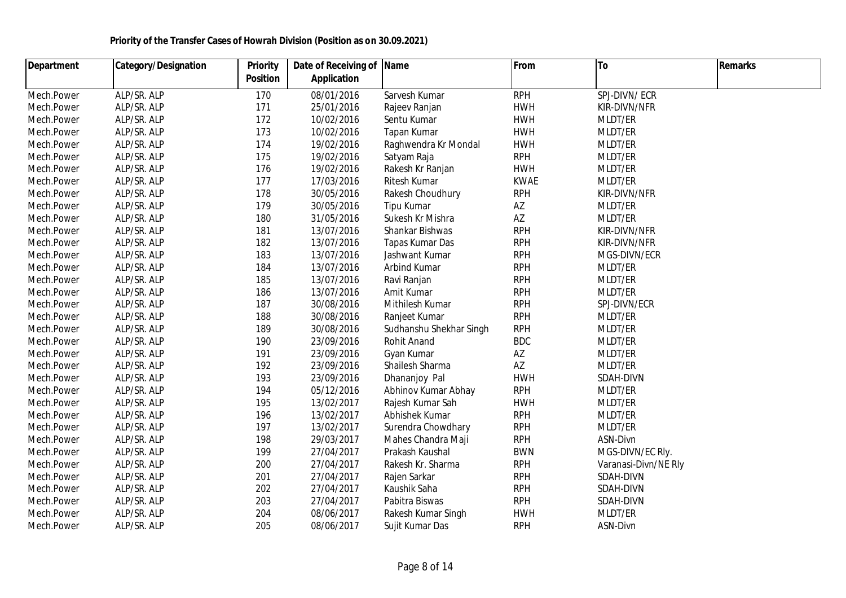| <b>Department</b> | <b>Category/Designation</b> | <b>Priority</b> | Date of Receiving of Name |                         | From        | To                   | <b>Remarks</b> |
|-------------------|-----------------------------|-----------------|---------------------------|-------------------------|-------------|----------------------|----------------|
|                   |                             | <b>Position</b> | <b>Application</b>        |                         |             |                      |                |
| Mech.Power        | ALP/SR. ALP                 | 170             | 08/01/2016                | Sarvesh Kumar           | <b>RPH</b>  | SPJ-DIVN/ECR         |                |
| Mech.Power        | ALP/SR. ALP                 | 171             | 25/01/2016                | Rajeev Ranjan           | <b>HWH</b>  | KIR-DIVN/NFR         |                |
| Mech.Power        | ALP/SR. ALP                 | 172             | 10/02/2016                | Sentu Kumar             | <b>HWH</b>  | MLDT/ER              |                |
| Mech.Power        | ALP/SR. ALP                 | 173             | 10/02/2016                | Tapan Kumar             | <b>HWH</b>  | MLDT/ER              |                |
| Mech.Power        | ALP/SR. ALP                 | 174             | 19/02/2016                | Raghwendra Kr Mondal    | <b>HWH</b>  | MLDT/ER              |                |
| Mech.Power        | ALP/SR. ALP                 | 175             | 19/02/2016                | Satyam Raja             | <b>RPH</b>  | MLDT/ER              |                |
| Mech.Power        | ALP/SR. ALP                 | 176             | 19/02/2016                | Rakesh Kr Ranjan        | <b>HWH</b>  | MLDT/ER              |                |
| Mech.Power        | ALP/SR. ALP                 | 177             | 17/03/2016                | Ritesh Kumar            | <b>KWAE</b> | MLDT/ER              |                |
| Mech.Power        | ALP/SR. ALP                 | 178             | 30/05/2016                | Rakesh Choudhury        | <b>RPH</b>  | KIR-DIVN/NFR         |                |
| Mech.Power        | ALP/SR. ALP                 | 179             | 30/05/2016                | Tipu Kumar              | AZ          | MLDT/ER              |                |
| Mech.Power        | ALP/SR. ALP                 | 180             | 31/05/2016                | Sukesh Kr Mishra        | AZ          | MLDT/ER              |                |
| Mech.Power        | ALP/SR. ALP                 | 181             | 13/07/2016                | Shankar Bishwas         | <b>RPH</b>  | KIR-DIVN/NFR         |                |
| Mech.Power        | ALP/SR. ALP                 | 182             | 13/07/2016                | Tapas Kumar Das         | <b>RPH</b>  | KIR-DIVN/NFR         |                |
| Mech.Power        | ALP/SR. ALP                 | 183             | 13/07/2016                | Jashwant Kumar          | <b>RPH</b>  | MGS-DIVN/ECR         |                |
| Mech.Power        | ALP/SR. ALP                 | 184             | 13/07/2016                | Arbind Kumar            | <b>RPH</b>  | MLDT/ER              |                |
| Mech.Power        | ALP/SR. ALP                 | 185             | 13/07/2016                | Ravi Ranjan             | <b>RPH</b>  | MLDT/ER              |                |
| Mech.Power        | ALP/SR. ALP                 | 186             | 13/07/2016                | Amit Kumar              | <b>RPH</b>  | MLDT/ER              |                |
| Mech.Power        | ALP/SR. ALP                 | 187             | 30/08/2016                | Mithilesh Kumar         | <b>RPH</b>  | SPJ-DIVN/ECR         |                |
| Mech.Power        | ALP/SR. ALP                 | 188             | 30/08/2016                | Ranjeet Kumar           | <b>RPH</b>  | MLDT/ER              |                |
| Mech.Power        | ALP/SR. ALP                 | 189             | 30/08/2016                | Sudhanshu Shekhar Singh | <b>RPH</b>  | MLDT/ER              |                |
| Mech.Power        | ALP/SR. ALP                 | 190             | 23/09/2016                | Rohit Anand             | <b>BDC</b>  | MLDT/ER              |                |
| Mech.Power        | ALP/SR. ALP                 | 191             | 23/09/2016                | Gyan Kumar              | AZ          | MLDT/ER              |                |
| Mech.Power        | ALP/SR. ALP                 | 192             | 23/09/2016                | Shailesh Sharma         | AZ          | MLDT/ER              |                |
| Mech.Power        | ALP/SR. ALP                 | 193             | 23/09/2016                | Dhananjoy Pal           | <b>HWH</b>  | SDAH-DIVN            |                |
| Mech.Power        | ALP/SR. ALP                 | 194             | 05/12/2016                | Abhinov Kumar Abhay     | <b>RPH</b>  | MLDT/ER              |                |
| Mech.Power        | ALP/SR. ALP                 | 195             | 13/02/2017                | Rajesh Kumar Sah        | <b>HWH</b>  | MLDT/ER              |                |
| Mech.Power        | ALP/SR. ALP                 | 196             | 13/02/2017                | Abhishek Kumar          | <b>RPH</b>  | MLDT/ER              |                |
| Mech.Power        | ALP/SR. ALP                 | 197             | 13/02/2017                | Surendra Chowdhary      | <b>RPH</b>  | MLDT/ER              |                |
| Mech.Power        | ALP/SR. ALP                 | 198             | 29/03/2017                | Mahes Chandra Maji      | <b>RPH</b>  | ASN-Divn             |                |
| Mech.Power        | ALP/SR. ALP                 | 199             | 27/04/2017                | Prakash Kaushal         | <b>BWN</b>  | MGS-DIVN/EC RIy.     |                |
| Mech.Power        | ALP/SR. ALP                 | 200             | 27/04/2017                | Rakesh Kr. Sharma       | <b>RPH</b>  | Varanasi-Divn/NE Rly |                |
| Mech.Power        | ALP/SR. ALP                 | 201             | 27/04/2017                | Rajen Sarkar            | <b>RPH</b>  | SDAH-DIVN            |                |
| Mech.Power        | ALP/SR. ALP                 | 202             | 27/04/2017                | Kaushik Saha            | <b>RPH</b>  | SDAH-DIVN            |                |
| Mech.Power        | ALP/SR. ALP                 | 203             | 27/04/2017                | Pabitra Biswas          | <b>RPH</b>  | SDAH-DIVN            |                |
| Mech.Power        | ALP/SR. ALP                 | 204             | 08/06/2017                | Rakesh Kumar Singh      | <b>HWH</b>  | MLDT/ER              |                |
| Mech.Power        | ALP/SR. ALP                 | 205             | 08/06/2017                | Sujit Kumar Das         | <b>RPH</b>  | ASN-Divn             |                |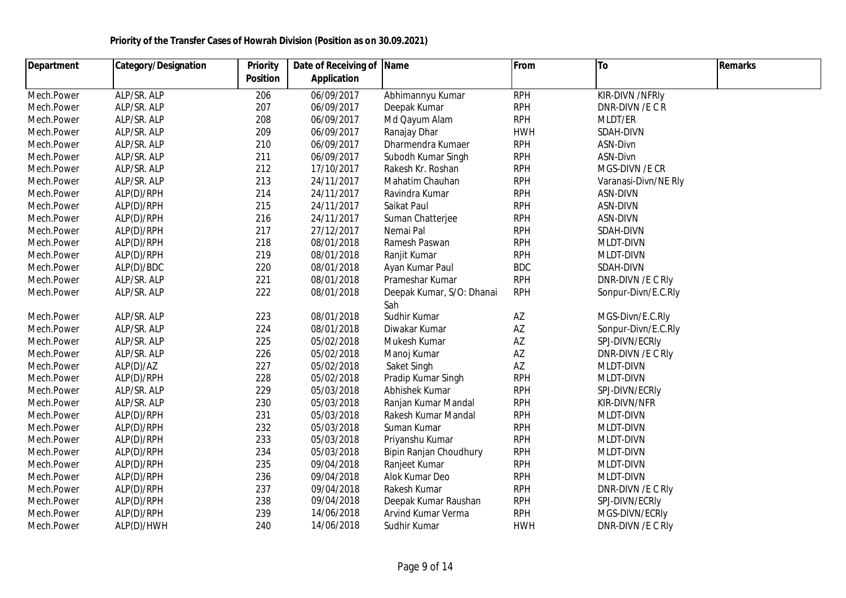| <b>Department</b> | <b>Category/Designation</b> | <b>Priority</b> | Date of Receiving of | <b>Name</b>               | From                   | To                   | Remarks |
|-------------------|-----------------------------|-----------------|----------------------|---------------------------|------------------------|----------------------|---------|
|                   |                             | <b>Position</b> | <b>Application</b>   |                           |                        |                      |         |
| Mech.Power        | ALP/SR. ALP                 | 206             | 06/09/2017           | Abhimannyu Kumar          | <b>RPH</b>             | KIR-DIVN /NFRIy      |         |
| Mech.Power        | ALP/SR. ALP                 | 207             | 06/09/2017           | Deepak Kumar              | <b>RPH</b>             | DNR-DIVN /E C R      |         |
| Mech.Power        | ALP/SR. ALP                 | 208             | 06/09/2017           | Md Qayum Alam             | <b>RPH</b>             | MLDT/ER              |         |
| Mech.Power        | ALP/SR. ALP                 | 209             | 06/09/2017           | Ranajay Dhar              | <b>HWH</b>             | SDAH-DIVN            |         |
| Mech.Power        | ALP/SR. ALP                 | 210             | 06/09/2017           | Dharmendra Kumaer         | <b>RPH</b>             | ASN-Divn             |         |
| Mech.Power        | ALP/SR. ALP                 | 211             | 06/09/2017           | Subodh Kumar Singh        | <b>RPH</b>             | ASN-Divn             |         |
| Mech.Power        | ALP/SR. ALP                 | 212             | 17/10/2017           | Rakesh Kr. Roshan         | <b>RPH</b>             | MGS-DIVN /E CR       |         |
| Mech.Power        | ALP/SR. ALP                 | 213             | 24/11/2017           | Mahatim Chauhan           | <b>RPH</b>             | Varanasi-Divn/NE Rly |         |
| Mech.Power        | ALP(D)/RPH                  | 214             | 24/11/2017           | Ravindra Kumar            | <b>RPH</b>             | ASN-DIVN             |         |
| Mech.Power        | ALP(D)/RPH                  | 215             | 24/11/2017           | Saikat Paul               | <b>RPH</b>             | ASN-DIVN             |         |
| Mech.Power        | ALP(D)/RPH                  | 216             | 24/11/2017           | Suman Chatterjee          | <b>RPH</b>             | ASN-DIVN             |         |
| Mech.Power        | ALP(D)/RPH                  | 217             | 27/12/2017           | Nemai Pal                 | <b>RPH</b>             | SDAH-DIVN            |         |
| Mech.Power        | ALP(D)/RPH                  | 218             | 08/01/2018           | Ramesh Paswan             | <b>RPH</b>             | <b>MLDT-DIVN</b>     |         |
| Mech.Power        | ALP(D)/RPH                  | 219             | 08/01/2018           | Ranjit Kumar              | <b>RPH</b>             | MLDT-DIVN            |         |
| Mech.Power        | ALP(D)/BDC                  | 220             | 08/01/2018           | Ayan Kumar Paul           | <b>BDC</b>             | SDAH-DIVN            |         |
| Mech.Power        | ALP/SR. ALP                 | 221             | 08/01/2018           | Prameshar Kumar           | <b>RPH</b>             | DNR-DIVN / E C RIV   |         |
| Mech.Power        | ALP/SR. ALP                 | 222             | 08/01/2018           | Deepak Kumar, S/O: Dhanai | <b>RPH</b>             | Sonpur-Divn/E.C.Rly  |         |
|                   |                             |                 |                      | Sah                       |                        |                      |         |
| Mech.Power        | ALP/SR. ALP                 | 223             | 08/01/2018           | Sudhir Kumar              | $\mathsf{A}\mathsf{Z}$ | MGS-Divn/E.C.Rly     |         |
| Mech.Power        | ALP/SR. ALP                 | 224             | 08/01/2018           | Diwakar Kumar             | AZ                     | Sonpur-Divn/E.C.Rly  |         |
| Mech.Power        | ALP/SR. ALP                 | 225             | 05/02/2018           | Mukesh Kumar              | AZ                     | SPJ-DIVN/ECRIy       |         |
| Mech.Power        | ALP/SR. ALP                 | 226             | 05/02/2018           | Manoj Kumar               | AZ                     | DNR-DIVN / EC RIV    |         |
| Mech.Power        | ALP(D)/AZ                   | 227             | 05/02/2018           | Saket Singh               | AZ                     | MLDT-DIVN            |         |
| Mech.Power        | ALP(D)/RPH                  | 228             | 05/02/2018           | Pradip Kumar Singh        | <b>RPH</b>             | <b>MLDT-DIVN</b>     |         |
| Mech.Power        | ALP/SR. ALP                 | 229             | 05/03/2018           | Abhishek Kumar            | <b>RPH</b>             | SPJ-DIVN/ECRIy       |         |
| Mech.Power        | ALP/SR. ALP                 | 230             | 05/03/2018           | Ranjan Kumar Mandal       | <b>RPH</b>             | KIR-DIVN/NFR         |         |
| Mech.Power        | ALP(D)/RPH                  | 231             | 05/03/2018           | Rakesh Kumar Mandal       | <b>RPH</b>             | <b>MLDT-DIVN</b>     |         |
| Mech.Power        | ALP(D)/RPH                  | 232             | 05/03/2018           | Suman Kumar               | <b>RPH</b>             | MLDT-DIVN            |         |
| Mech.Power        | ALP(D)/RPH                  | 233             | 05/03/2018           | Priyanshu Kumar           | <b>RPH</b>             | <b>MLDT-DIVN</b>     |         |
| Mech.Power        | ALP(D)/RPH                  | 234             | 05/03/2018           | Bipin Ranjan Choudhury    | <b>RPH</b>             | MLDT-DIVN            |         |
| Mech.Power        | ALP(D)/RPH                  | 235             | 09/04/2018           | Ranjeet Kumar             | <b>RPH</b>             | MLDT-DIVN            |         |
| Mech.Power        | ALP(D)/RPH                  | 236             | 09/04/2018           | Alok Kumar Deo            | <b>RPH</b>             | MLDT-DIVN            |         |
| Mech.Power        | ALP(D)/RPH                  | 237             | 09/04/2018           | Rakesh Kumar              | <b>RPH</b>             | DNR-DIVN / EC RIV    |         |
| Mech.Power        | ALP(D)/RPH                  | 238             | 09/04/2018           | Deepak Kumar Raushan      | <b>RPH</b>             | SPJ-DIVN/ECRIy       |         |
| Mech.Power        | ALP(D)/RPH                  | 239             | 14/06/2018           | Arvind Kumar Verma        | <b>RPH</b>             | MGS-DIVN/ECRIy       |         |
| Mech.Power        | ALP(D)/HWH                  | 240             | 14/06/2018           | Sudhir Kumar              | <b>HWH</b>             | DNR-DIVN / EC RIV    |         |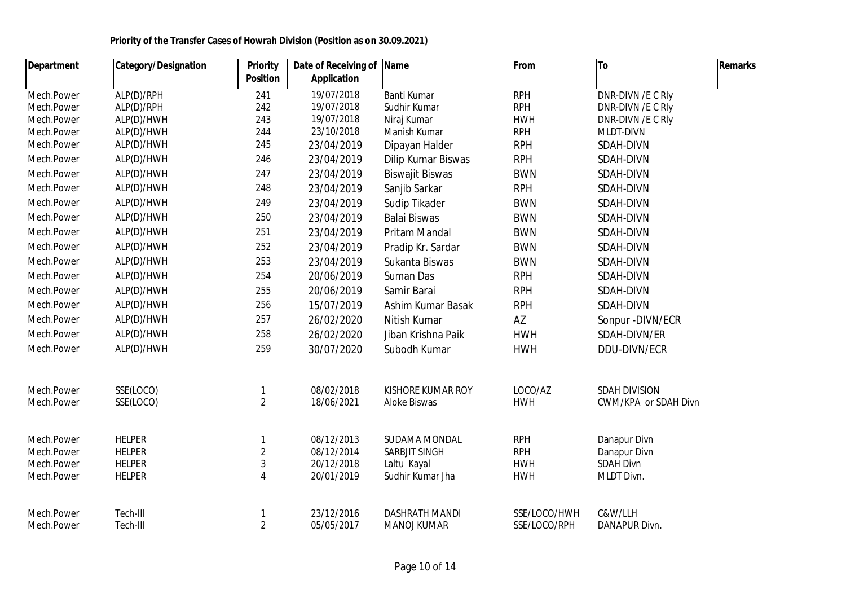| Department | <b>Category/Designation</b> | <b>Priority</b> | Date of Receiving of | <b>Name</b>            | From         | To                   | <b>Remarks</b> |
|------------|-----------------------------|-----------------|----------------------|------------------------|--------------|----------------------|----------------|
|            |                             | <b>Position</b> | <b>Application</b>   |                        |              |                      |                |
| Mech.Power | ALP(D)/RPH                  | 241             | 19/07/2018           | Banti Kumar            | <b>RPH</b>   | DNR-DIVN / E C RIV   |                |
| Mech.Power | ALP(D)/RPH                  | 242             | 19/07/2018           | Sudhir Kumar           | <b>RPH</b>   | DNR-DIVN / EC RIV    |                |
| Mech.Power | ALP(D)/HWH                  | 243             | 19/07/2018           | Niraj Kumar            | <b>HWH</b>   | DNR-DIVN / EC RIV    |                |
| Mech.Power | ALP(D)/HWH                  | 244             | 23/10/2018           | Manish Kumar           | <b>RPH</b>   | MLDT-DIVN            |                |
| Mech.Power | ALP(D)/HWH                  | 245             | 23/04/2019           | Dipayan Halder         | <b>RPH</b>   | SDAH-DIVN            |                |
| Mech.Power | ALP(D)/HWH                  | 246             | 23/04/2019           | Dilip Kumar Biswas     | <b>RPH</b>   | SDAH-DIVN            |                |
| Mech.Power | ALP(D)/HWH                  | 247             | 23/04/2019           | <b>Biswajit Biswas</b> | <b>BWN</b>   | SDAH-DIVN            |                |
| Mech.Power | ALP(D)/HWH                  | 248             | 23/04/2019           | Sanjib Sarkar          | <b>RPH</b>   | SDAH-DIVN            |                |
| Mech.Power | ALP(D)/HWH                  | 249             | 23/04/2019           | Sudip Tikader          | <b>BWN</b>   | SDAH-DIVN            |                |
| Mech.Power | ALP(D)/HWH                  | 250             | 23/04/2019           | <b>Balai Biswas</b>    | <b>BWN</b>   | SDAH-DIVN            |                |
| Mech.Power | ALP(D)/HWH                  | 251             | 23/04/2019           | Pritam Mandal          | <b>BWN</b>   | SDAH-DIVN            |                |
| Mech.Power | ALP(D)/HWH                  | 252             | 23/04/2019           | Pradip Kr. Sardar      | <b>BWN</b>   | SDAH-DIVN            |                |
| Mech.Power | ALP(D)/HWH                  | 253             | 23/04/2019           | Sukanta Biswas         | <b>BWN</b>   | SDAH-DIVN            |                |
| Mech.Power | ALP(D)/HWH                  | 254             | 20/06/2019           | Suman Das              | <b>RPH</b>   | SDAH-DIVN            |                |
| Mech.Power | ALP(D)/HWH                  | 255             | 20/06/2019           | Samir Barai            | <b>RPH</b>   | SDAH-DIVN            |                |
| Mech.Power | ALP(D)/HWH                  | 256             | 15/07/2019           | Ashim Kumar Basak      | <b>RPH</b>   | SDAH-DIVN            |                |
| Mech.Power | ALP(D)/HWH                  | 257             | 26/02/2020           | Nitish Kumar           | AZ           | Sonpur - DIVN/ECR    |                |
| Mech.Power | ALP(D)/HWH                  | 258             | 26/02/2020           | Jiban Krishna Paik     | <b>HWH</b>   | SDAH-DIVN/ER         |                |
| Mech.Power | ALP(D)/HWH                  | 259             | 30/07/2020           | Subodh Kumar           | <b>HWH</b>   | DDU-DIVN/ECR         |                |
| Mech.Power | SSE(LOCO)                   | 1               | 08/02/2018           | KISHORE KUMAR ROY      | LOCO/AZ      | <b>SDAH DIVISION</b> |                |
| Mech.Power | SSE(LOCO)                   | $\overline{2}$  | 18/06/2021           | Aloke Biswas           | <b>HWH</b>   | CWM/KPA or SDAH Divn |                |
| Mech.Power | <b>HELPER</b>               | $\mathbf{1}$    | 08/12/2013           | SUDAMA MONDAL          | <b>RPH</b>   | Danapur Divn         |                |
| Mech.Power | <b>HELPER</b>               | $\overline{2}$  | 08/12/2014           | <b>SARBJIT SINGH</b>   | <b>RPH</b>   | Danapur Divn         |                |
| Mech.Power | <b>HELPER</b>               | $\mathfrak{Z}$  | 20/12/2018           | Laltu Kayal            | <b>HWH</b>   | <b>SDAH Divn</b>     |                |
| Mech.Power | <b>HELPER</b>               | $\overline{4}$  | 20/01/2019           | Sudhir Kumar Jha       | <b>HWH</b>   | MLDT Divn.           |                |
| Mech.Power | Tech-III                    |                 | 23/12/2016           | <b>DASHRATH MANDI</b>  | SSE/LOCO/HWH | C&W/LLH              |                |
| Mech.Power | Tech-III                    | $\overline{2}$  | 05/05/2017           | <b>MANOJ KUMAR</b>     | SSE/LOCO/RPH | DANAPUR Divn.        |                |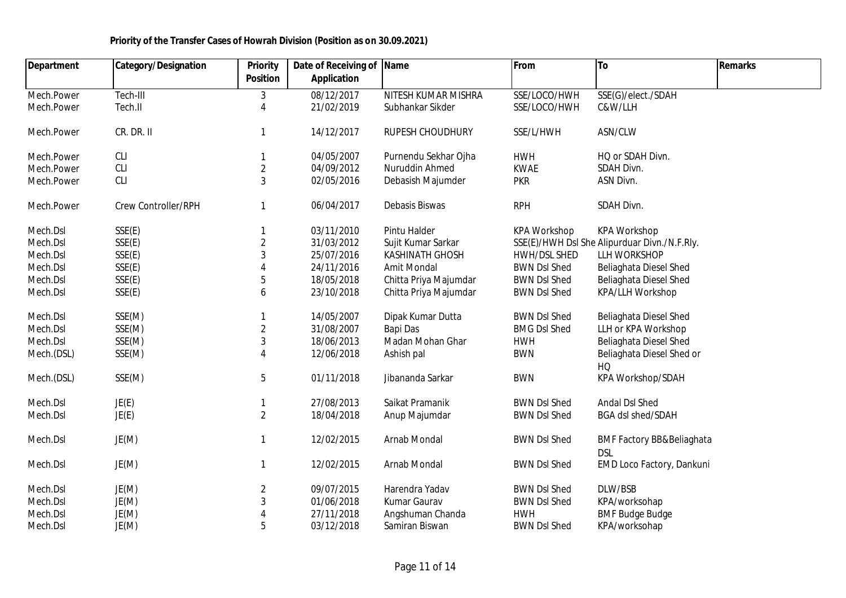| <b>Department</b> | <b>Category/Designation</b> | Priority        | Date of Receiving of | Name                   | From                | To                                                 | <b>Remarks</b> |
|-------------------|-----------------------------|-----------------|----------------------|------------------------|---------------------|----------------------------------------------------|----------------|
|                   |                             | <b>Position</b> | <b>Application</b>   |                        |                     |                                                    |                |
| Mech.Power        | Tech-III                    | 3               | 08/12/2017           | NITESH KUMAR MISHRA    | SSE/LOCO/HWH        | SSE(G)/elect./SDAH                                 |                |
| Mech.Power        | Tech.II                     | 4               | 21/02/2019           | Subhankar Sikder       | SSE/LOCO/HWH        | C&W/LLH                                            |                |
| Mech.Power        | CR. DR. II                  |                 | 14/12/2017           | RUPESH CHOUDHURY       | SSE/L/HWH           | ASN/CLW                                            |                |
| Mech.Power        | <b>CLI</b>                  |                 | 04/05/2007           | Purnendu Sekhar Ojha   | <b>HWH</b>          | HQ or SDAH Divn.                                   |                |
| Mech.Power        | CLI                         | $\overline{2}$  | 04/09/2012           | Nuruddin Ahmed         | <b>KWAE</b>         | SDAH Divn.                                         |                |
| Mech.Power        | CLI                         | $\mathfrak{Z}$  | 02/05/2016           | Debasish Majumder      | <b>PKR</b>          | ASN Divn.                                          |                |
| Mech.Power        | Crew Controller/RPH         |                 | 06/04/2017           | Debasis Biswas         | <b>RPH</b>          | SDAH Divn.                                         |                |
| Mech.Dsl          | SSE(E)                      |                 | 03/11/2010           | Pintu Halder           | <b>KPA Workshop</b> | <b>KPA Workshop</b>                                |                |
| Mech.Dsl          | SSE(E)                      | $\sqrt{2}$      | 31/03/2012           | Sujit Kumar Sarkar     |                     | SSE(E)/HWH DsI She Alipurduar Divn./N.F.Rly.       |                |
| Mech.Dsl          | SSE(E)                      | 3               | 25/07/2016           | <b>KASHINATH GHOSH</b> | HWH/DSL SHED        | LLH WORKSHOP                                       |                |
| Mech.Dsl          | SSE(E)                      | $\Delta$        | 24/11/2016           | Amit Mondal            | <b>BWN DsI Shed</b> | Beliaghata Diesel Shed                             |                |
| Mech.Dsl          | SSE(E)                      | 5               | 18/05/2018           | Chitta Priya Majumdar  | <b>BWN DsI Shed</b> | Beliaghata Diesel Shed                             |                |
| Mech.Dsl          | SSE(E)                      | 6               | 23/10/2018           | Chitta Priya Majumdar  | <b>BWN DsI Shed</b> | <b>KPA/LLH Workshop</b>                            |                |
| Mech.Dsl          | SSE(M)                      |                 | 14/05/2007           | Dipak Kumar Dutta      | <b>BWN DsI Shed</b> | Beliaghata Diesel Shed                             |                |
| Mech.Dsl          | SSE(M)                      | $\overline{2}$  | 31/08/2007           | Bapi Das               | <b>BMG DsI Shed</b> | LLH or KPA Workshop                                |                |
| Mech.Dsl          | SSE(M)                      | $\mathfrak{Z}$  | 18/06/2013           | Madan Mohan Ghar       | <b>HWH</b>          | Beliaghata Diesel Shed                             |                |
| Mech.(DSL)        | SSE(M)                      | 4               | 12/06/2018           | Ashish pal             | <b>BWN</b>          | Beliaghata Diesel Shed or                          |                |
|                   |                             |                 |                      |                        |                     | HQ                                                 |                |
| Mech.(DSL)        | SSE(M)                      | 5               | 01/11/2018           | Jibananda Sarkar       | <b>BWN</b>          | KPA Workshop/SDAH                                  |                |
| Mech.Dsl          | JE(E)                       |                 | 27/08/2013           | Saikat Pramanik        | <b>BWN DsI Shed</b> | Andal Dsl Shed                                     |                |
| Mech.Dsl          | JE(E)                       | $\overline{2}$  | 18/04/2018           | Anup Majumdar          | <b>BWN DsI Shed</b> | BGA dsl shed/SDAH                                  |                |
| Mech.Dsl          | JE(M)                       | $\mathbf{1}$    | 12/02/2015           | Arnab Mondal           | <b>BWN DsI Shed</b> | <b>BMF Factory BB&amp;Beliaghata</b><br><b>DSL</b> |                |
| Mech.Dsl          | JE(M)                       | 1               | 12/02/2015           | Arnab Mondal           | <b>BWN DsI Shed</b> | EMD Loco Factory, Dankuni                          |                |
| Mech.Dsl          | JE(M)                       | $\overline{2}$  | 09/07/2015           | Harendra Yadav         | <b>BWN DsI Shed</b> | DLW/BSB                                            |                |
| Mech.Dsl          | JE(M)                       | $\mathfrak{Z}$  | 01/06/2018           | Kumar Gaurav           | <b>BWN DsI Shed</b> | KPA/worksohap                                      |                |
| Mech.Dsl          | JE(M)                       |                 | 27/11/2018           | Angshuman Chanda       | <b>HWH</b>          | <b>BMF Budge Budge</b>                             |                |
| Mech.Dsl          | JE(M)                       | 5               | 03/12/2018           | Samiran Biswan         | <b>BWN DsI Shed</b> | KPA/worksohap                                      |                |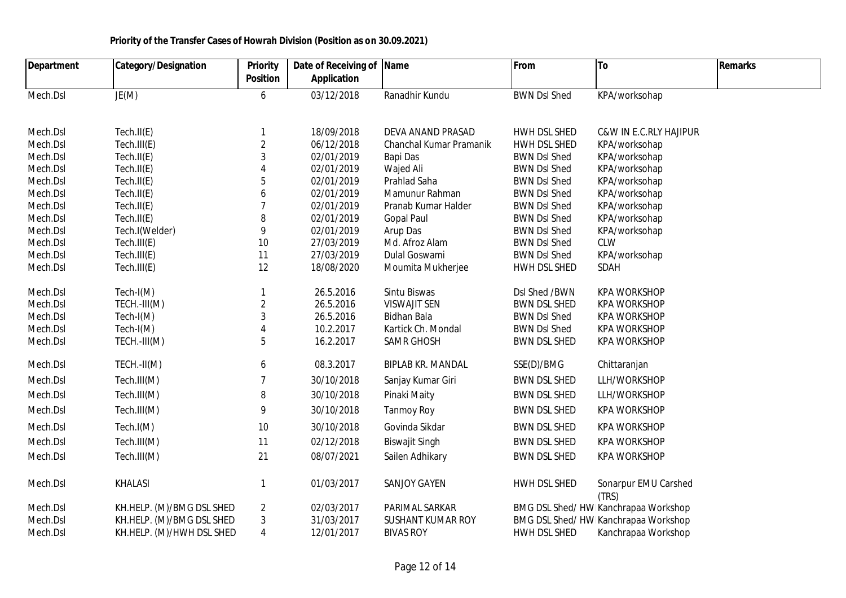| <b>Department</b> | <b>Category/Designation</b> | <b>Priority</b>        | Date of Receiving of | <b>Name</b>              | From                | To                                  | <b>Remarks</b> |
|-------------------|-----------------------------|------------------------|----------------------|--------------------------|---------------------|-------------------------------------|----------------|
|                   |                             | <b>Position</b>        | <b>Application</b>   |                          |                     |                                     |                |
| Mech.Dsl          | JE(M)                       | $\boldsymbol{6}$       | 03/12/2018           | Ranadhir Kundu           | <b>BWN Dsl Shed</b> | KPA/worksohap                       |                |
| Mech.Dsl          | Tech.II(E)                  | 1                      | 18/09/2018           | DEVA ANAND PRASAD        | <b>HWH DSL SHED</b> | <b>C&amp;W IN E.C.RLY HAJIPUR</b>   |                |
| Mech.Dsl          | Tech.III(E)                 | $\sqrt{2}$             | 06/12/2018           | Chanchal Kumar Pramanik  | HWH DSL SHED        | KPA/worksohap                       |                |
| Mech.Dsl          | Tech.II(E)                  | $\mathfrak{Z}$         | 02/01/2019           | Bapi Das                 | <b>BWN DsI Shed</b> | KPA/worksohap                       |                |
| Mech.Dsl          | Tech.II(E)                  | $\boldsymbol{\Lambda}$ | 02/01/2019           | Wajed Ali                | <b>BWN DsI Shed</b> | KPA/worksohap                       |                |
| Mech.Dsl          | Tech.II(E)                  | 5                      | 02/01/2019           | Prahlad Saha             | <b>BWN DsI Shed</b> | KPA/worksohap                       |                |
| Mech.Dsl          | Tech.II(E)                  | 6                      | 02/01/2019           | Mamunur Rahman           | <b>BWN DsI Shed</b> | KPA/worksohap                       |                |
| Mech.Dsl          | Tech.II(E)                  | $\overline{7}$         | 02/01/2019           | Pranab Kumar Halder      | <b>BWN DsI Shed</b> | KPA/worksohap                       |                |
| Mech.Dsl          | Tech.II(E)                  | 8                      | 02/01/2019           | <b>Gopal Paul</b>        | <b>BWN DsI Shed</b> | KPA/worksohap                       |                |
| Mech.Dsl          | Tech.I(Welder)              | 9                      | 02/01/2019           | Arup Das                 | <b>BWN DsI Shed</b> | KPA/worksohap                       |                |
| Mech.Dsl          | Tech.III(E)                 | 10                     | 27/03/2019           | Md. Afroz Alam           | <b>BWN DsI Shed</b> | <b>CLW</b>                          |                |
| Mech.Dsl          | Tech.III(E)                 | 11                     | 27/03/2019           | Dulal Goswami            | <b>BWN Dsl Shed</b> | KPA/worksohap                       |                |
| Mech.Dsl          | Tech.III(E)                 | 12                     | 18/08/2020           | Moumita Mukherjee        | HWH DSL SHED        | SDAH                                |                |
| Mech.Dsl          | Tech-I(M)                   | $\mathbf{1}$           | 26.5.2016            | Sintu Biswas             | DsI Shed / BWN      | <b>KPA WORKSHOP</b>                 |                |
| Mech.Dsl          | TECH.-III(M)                | $\overline{2}$         | 26.5.2016            | <b>VISWAJIT SEN</b>      | <b>BWN DSL SHED</b> | <b>KPA WORKSHOP</b>                 |                |
| Mech.Dsl          | $Tech-I(M)$                 | $\mathfrak{Z}$         | 26.5.2016            | Bidhan Bala              | <b>BWN DsI Shed</b> | <b>KPA WORKSHOP</b>                 |                |
| Mech.Dsl          | $Tech-I(M)$                 | $\overline{4}$         | 10.2.2017            | Kartick Ch. Mondal       | <b>BWN DsI Shed</b> | <b>KPA WORKSHOP</b>                 |                |
| Mech.Dsl          | TECH.-III(M)                | $\sqrt{5}$             | 16.2.2017            | <b>SAMR GHOSH</b>        | <b>BWN DSL SHED</b> | <b>KPA WORKSHOP</b>                 |                |
| Mech.Dsl          | TECH.-II(M)                 | 6                      | 08.3.2017            | <b>BIPLAB KR. MANDAL</b> | SSE(D)/BMG          | Chittaranjan                        |                |
| Mech.Dsl          | Tech.III(M)                 | $\overline{7}$         | 30/10/2018           | Sanjay Kumar Giri        | <b>BWN DSL SHED</b> | LLH/WORKSHOP                        |                |
| Mech.Dsl          | Tech.III(M)                 | 8                      | 30/10/2018           | Pinaki Maity             | <b>BWN DSL SHED</b> | LLH/WORKSHOP                        |                |
| Mech.Dsl          | Tech.III(M)                 | 9                      | 30/10/2018           | <b>Tanmoy Roy</b>        | <b>BWN DSL SHED</b> | <b>KPA WORKSHOP</b>                 |                |
| Mech.Dsl          | Tech.I(M)                   | 10                     | 30/10/2018           | Govinda Sikdar           | <b>BWN DSL SHED</b> | <b>KPA WORKSHOP</b>                 |                |
| Mech.Dsl          | Tech.III(M)                 | 11                     | 02/12/2018           | <b>Biswajit Singh</b>    | <b>BWN DSL SHED</b> | <b>KPA WORKSHOP</b>                 |                |
| Mech.Dsl          | Tech.III(M)                 | 21                     | 08/07/2021           | Sailen Adhikary          | <b>BWN DSL SHED</b> | <b>KPA WORKSHOP</b>                 |                |
| Mech.Dsl          | <b>KHALASI</b>              | $\mathbf{1}$           | 01/03/2017           | <b>SANJOY GAYEN</b>      | HWH DSL SHED        | Sonarpur EMU Carshed<br>(TRS)       |                |
| Mech.Dsl          | KH.HELP. (M)/BMG DSL SHED   | $\overline{2}$         | 02/03/2017           | PARIMAL SARKAR           |                     | BMG DSL Shed/HW Kanchrapaa Workshop |                |
| Mech.Dsl          | KH.HELP. (M)/BMG DSL SHED   | $\mathbf{3}$           | 31/03/2017           | <b>SUSHANT KUMAR ROY</b> |                     | BMG DSL Shed/HW Kanchrapaa Workshop |                |
| Mech.Dsl          | KH.HELP. (M)/HWH DSL SHED   | $\sqrt{4}$             | 12/01/2017           | <b>BIVAS ROY</b>         | HWH DSL SHED        | Kanchrapaa Workshop                 |                |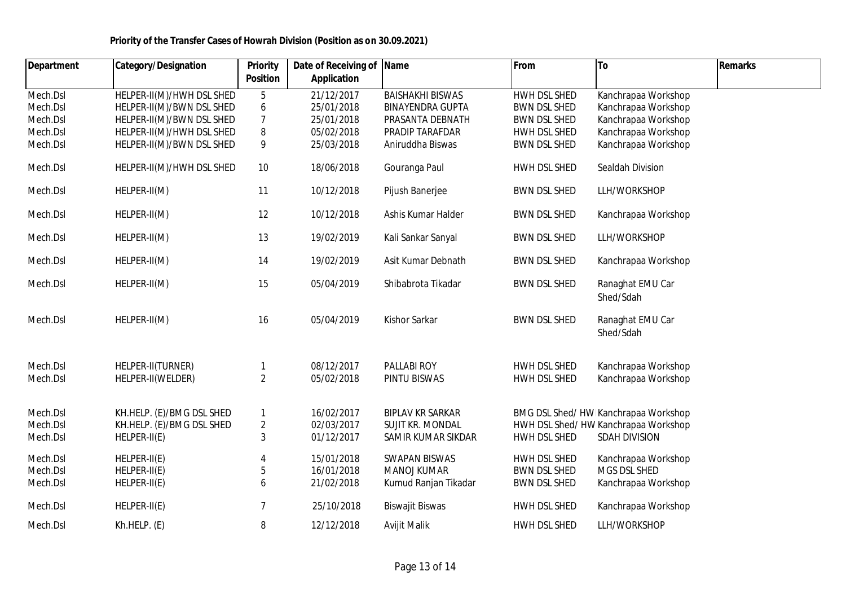| <b>Department</b> | <b>Category/Designation</b> | <b>Priority</b>  | Date of Receiving of Name |                         | From                | To                                  | <b>Remarks</b> |
|-------------------|-----------------------------|------------------|---------------------------|-------------------------|---------------------|-------------------------------------|----------------|
|                   |                             | <b>Position</b>  | <b>Application</b>        |                         |                     |                                     |                |
| Mech.Dsl          | HELPER-II(M)/HWH DSL SHED   | 5                | 21/12/2017                | <b>BAISHAKHI BISWAS</b> | HWH DSL SHED        | Kanchrapaa Workshop                 |                |
| Mech.Dsl          | HELPER-II(M)/BWN DSL SHED   | $\boldsymbol{6}$ | 25/01/2018                | <b>BINAYENDRA GUPTA</b> | <b>BWN DSL SHED</b> | Kanchrapaa Workshop                 |                |
| Mech.Dsl          | HELPER-II(M)/BWN DSL SHED   | $\overline{7}$   | 25/01/2018                | PRASANTA DEBNATH        | <b>BWN DSL SHED</b> | Kanchrapaa Workshop                 |                |
| Mech.Dsl          | HELPER-II(M)/HWH DSL SHED   | 8                | 05/02/2018                | PRADIP TARAFDAR         | HWH DSL SHED        | Kanchrapaa Workshop                 |                |
| Mech.Dsl          | HELPER-II(M)/BWN DSL SHED   | 9                | 25/03/2018                | Aniruddha Biswas        | <b>BWN DSL SHED</b> | Kanchrapaa Workshop                 |                |
| Mech.Dsl          | HELPER-II(M)/HWH DSL SHED   | 10               | 18/06/2018                | Gouranga Paul           | HWH DSL SHED        | Sealdah Division                    |                |
| Mech.Dsl          | HELPER-II(M)                | 11               | 10/12/2018                | Pijush Banerjee         | <b>BWN DSL SHED</b> | LLH/WORKSHOP                        |                |
| Mech.Dsl          | HELPER-II(M)                | 12               | 10/12/2018                | Ashis Kumar Halder      | <b>BWN DSL SHED</b> | Kanchrapaa Workshop                 |                |
| Mech.Dsl          | HELPER-II(M)                | 13               | 19/02/2019                | Kali Sankar Sanyal      | <b>BWN DSL SHED</b> | LLH/WORKSHOP                        |                |
| Mech.Dsl          | HELPER-II(M)                | 14               | 19/02/2019                | Asit Kumar Debnath      | <b>BWN DSL SHED</b> | Kanchrapaa Workshop                 |                |
| Mech.Dsl          | HELPER-II(M)                | 15               | 05/04/2019                | Shibabrota Tikadar      | <b>BWN DSL SHED</b> | Ranaghat EMU Car<br>Shed/Sdah       |                |
| Mech.Dsl          | HELPER-II(M)                | 16               | 05/04/2019                | Kishor Sarkar           | <b>BWN DSL SHED</b> | Ranaghat EMU Car<br>Shed/Sdah       |                |
| Mech.Dsl          | HELPER-II(TURNER)           | 1                | 08/12/2017                | PALLABI ROY             | HWH DSL SHED        | Kanchrapaa Workshop                 |                |
| Mech.Dsl          | HELPER-II(WELDER)           | $\overline{2}$   | 05/02/2018                | PINTU BISWAS            | HWH DSL SHED        | Kanchrapaa Workshop                 |                |
| Mech.Dsl          | KH.HELP. (E)/BMG DSL SHED   | $\mathbf{1}$     | 16/02/2017                | <b>BIPLAV KR SARKAR</b> |                     | BMG DSL Shed/HW Kanchrapaa Workshop |                |
| Mech.Dsl          | KH.HELP. (E)/BMG DSL SHED   | $\overline{2}$   | 02/03/2017                | SUJIT KR. MONDAL        |                     | HWH DSL Shed/HW Kanchrapaa Workshop |                |
| Mech.Dsl          | HELPER-II(E)                | 3                | 01/12/2017                | SAMIR KUMAR SIKDAR      | HWH DSL SHED        | <b>SDAH DIVISION</b>                |                |
| Mech.Dsl          | HELPER-II(E)                |                  | 15/01/2018                | <b>SWAPAN BISWAS</b>    | HWH DSL SHED        | Kanchrapaa Workshop                 |                |
| Mech.Dsl          | HELPER-II(E)                | 5                | 16/01/2018                | MANOJ KUMAR             | <b>BWN DSL SHED</b> | MGS DSL SHED                        |                |
| Mech.Dsl          | HELPER-II(E)                | 6                | 21/02/2018                | Kumud Ranjan Tikadar    | <b>BWN DSL SHED</b> | Kanchrapaa Workshop                 |                |
| Mech.Dsl          | HELPER-II(E)                | 7                | 25/10/2018                | <b>Biswajit Biswas</b>  | HWH DSL SHED        | Kanchrapaa Workshop                 |                |
| Mech.Dsl          | Kh.HELP. (E)                | 8                | 12/12/2018                | Avijit Malik            | HWH DSL SHED        | LLH/WORKSHOP                        |                |